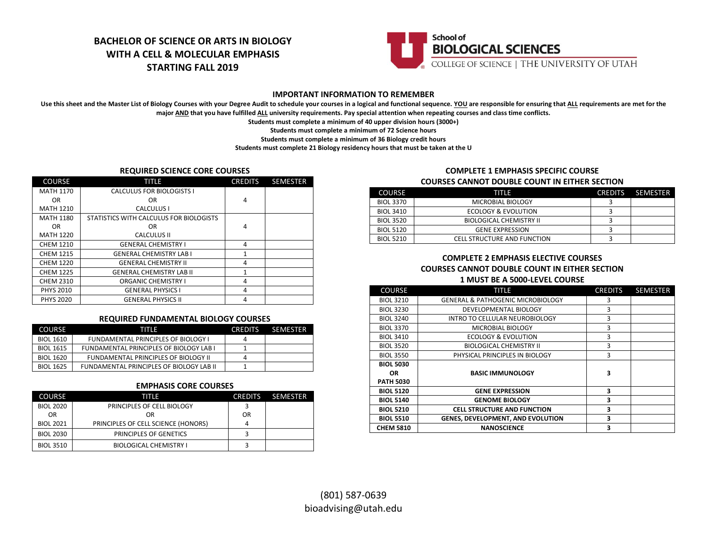# **BACHELOR OF SCIENCE OR ARTS IN BIOLOGY WITH A CELL & MOLECULAR EMPHASIS STARTING FALL 2019**



## **IMPORTANT INFORMATION TO REMEMBER**

Use this sheet and the Master List of Biology Courses with your Degree Audit to schedule your courses in a logical and functional sequence. YOU are responsible for ensuring that ALL requirements are met for the **major AND that you have fulfilled ALL university requirements. Pay special attention when repeating courses and class time conflicts.**

**Students must complete a minimum of 40 upper division hours (3000+)**

**Students must complete a minimum of 72 Science hours**

**Students must complete a minimum of 36 Biology credit hours**

**Students must complete 21 Biology residency hours that must be taken at the U**

## **REQUIRED SCIENCE CORE COURSES**

| <b>COURSE</b>    | TITLE                                   | <b>CREDITS</b> | <b>SEMESTER</b> |
|------------------|-----------------------------------------|----------------|-----------------|
| <b>MATH 1170</b> | CALCULUS FOR BIOLOGISTS I               |                |                 |
| OR.              | 0R                                      | $\overline{4}$ |                 |
| <b>MATH 1210</b> | CALCULUS I                              |                |                 |
| <b>MATH 1180</b> | STATISTICS WITH CALCULUS FOR BIOLOGISTS |                |                 |
| OR.              | 0R                                      | 4              |                 |
| <b>MATH 1220</b> | <b>CALCULUS II</b>                      |                |                 |
| <b>CHEM 1210</b> | <b>GENERAL CHEMISTRY I</b>              | 4              |                 |
| <b>CHEM 1215</b> | <b>GENERAL CHEMISTRY LAB I</b>          | 1              |                 |
| <b>CHEM 1220</b> | <b>GENERAL CHEMISTRY II</b>             | 4              |                 |
| <b>CHEM 1225</b> | <b>GENERAL CHEMISTRY LAB II</b>         | 1              |                 |
| <b>CHEM 2310</b> | <b>ORGANIC CHEMISTRY I</b>              | 4              |                 |
| <b>PHYS 2010</b> | <b>GENERAL PHYSICS I</b>                | 4              |                 |
| <b>PHYS 2020</b> | <b>GENERAL PHYSICS II</b>               | 4              |                 |

## **REQUIRED FUNDAMENTAL BIOLOGY COURSES**

| <b>COURSE</b>    | TH F                                           | <b>CREDITS</b> | <b>SEMESTER</b> |
|------------------|------------------------------------------------|----------------|-----------------|
| <b>BIOL 1610</b> | <b>FUNDAMENTAL PRINCIPLES OF BIOLOGY I</b>     |                |                 |
| <b>BIOL 1615</b> | <b>FUNDAMENTAL PRINCIPLES OF BIOLOGY LAB I</b> |                |                 |
| <b>BIOL 1620</b> | FUNDAMENTAL PRINCIPLES OF BIOLOGY II           |                |                 |
| <b>BIOL 1625</b> | FUNDAMENTAL PRINCIPLES OF BIOLOGY LAB II       |                |                 |

### **EMPHASIS CORE COURSES**

| <b>COURSE</b>    | TITLE                               | <b>CREDITS</b> | SEMESTER |
|------------------|-------------------------------------|----------------|----------|
| <b>BIOL 2020</b> | PRINCIPLES OF CELL BIOLOGY          |                |          |
| <b>OR</b>        | OR                                  | OR             |          |
| <b>BIOL 2021</b> | PRINCIPLES OF CELL SCIENCE (HONORS) |                |          |
| <b>BIOL 2030</b> | PRINCIPLES OF GENETICS              |                |          |
| <b>BIOL 3510</b> | <b>BIOLOGICAL CHEMISTRY I</b>       |                |          |

## **COMPLETE 1 EMPHASIS SPECIFIC COURSE**

#### **COURSES CANNOT DOUBLE COUNT IN EITHER SECTION**

| <b>COURSE</b>    | TITIF                              | <b>CREDITS</b> | SEMESTER |
|------------------|------------------------------------|----------------|----------|
| <b>BIOL 3370</b> | MICROBIAL BIOLOGY                  |                |          |
| <b>BIOL 3410</b> | ECOLOGY & EVOLUTION                |                |          |
| <b>BIOL 3520</b> | <b>BIOLOGICAL CHEMISTRY II</b>     |                |          |
| <b>BIOL 5120</b> | <b>GENE EXPRESSION</b>             |                |          |
| <b>BIOL 5210</b> | <b>CELL STRUCTURE AND FUNCTION</b> |                |          |

## **COMPLETE 2 EMPHASIS ELECTIVE COURSES COURSES CANNOT DOUBLE COUNT IN EITHER SECTION 1 MUST BE A 5000-LEVEL COURSE**

| <b>COURSE</b>           | TITLE                                        | <b>CREDITS</b> | <b>SEMESTER</b> |
|-------------------------|----------------------------------------------|----------------|-----------------|
| <b>BIOL 3210</b>        | <b>GENERAL &amp; PATHOGENIC MICROBIOLOGY</b> | 3              |                 |
| <b>BIOL 3230</b>        | DEVELOPMENTAL BIOLOGY                        | 3              |                 |
| <b>BIOL 3240</b>        | INTRO TO CELLULAR NEUROBIOLOGY               | 3              |                 |
| <b>BIOL 3370</b>        | MICROBIAL BIOLOGY                            | 3              |                 |
| <b>BIOL 3410</b>        | <b>ECOLOGY &amp; EVOLUTION</b>               | 3              |                 |
| <b>BIOL 3520</b>        | <b>BIOLOGICAL CHEMISTRY II</b>               | 3              |                 |
| <b>BIOL 3550</b>        | PHYSICAL PRINCIPLES IN BIOLOGY               | 3              |                 |
| <b>BIOL 5030</b>        |                                              | 3              |                 |
| OR.<br><b>PATH 5030</b> | <b>BASIC IMMUNOLOGY</b>                      |                |                 |
| <b>BIOL 5120</b>        | <b>GENE EXPRESSION</b>                       | 3              |                 |
| <b>BIOL 5140</b>        | <b>GENOME BIOLOGY</b>                        | 3              |                 |
| <b>BIOL 5210</b>        | <b>CELL STRUCTURE AND FUNCTION</b>           | 3              |                 |
| <b>BIOL 5510</b>        | GENES, DEVELOPMENT, AND EVOLUTION            | 3              |                 |
| <b>CHEM 5810</b>        | <b>NANOSCIENCE</b>                           | 3              |                 |